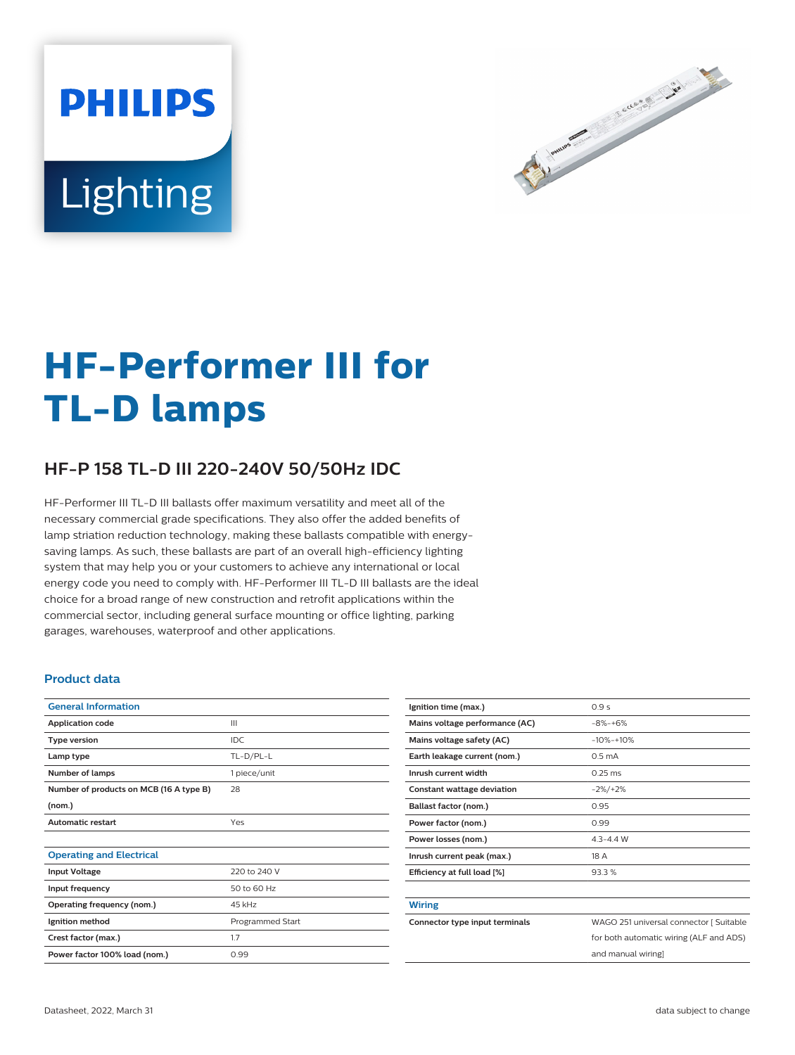# **PHILIPS** Lighting



# **HF-Performer III for TL-D lamps**

# **HF-P 158 TL-D III 220-240V 50/50Hz IDC**

HF-Performer III TL-D III ballasts offer maximum versatility and meet all of the necessary commercial grade specifications. They also offer the added benefits of lamp striation reduction technology, making these ballasts compatible with energysaving lamps. As such, these ballasts are part of an overall high-efficiency lighting system that may help you or your customers to achieve any international or local energy code you need to comply with. HF-Performer III TL-D III ballasts are the ideal choice for a broad range of new construction and retrofit applications within the commercial sector, including general surface mounting or office lighting, parking garages, warehouses, waterproof and other applications.

#### **Product data**

| <b>General Information</b>              |                  |  |  |
|-----------------------------------------|------------------|--|--|
| <b>Application code</b>                 | Ш                |  |  |
| <b>Type version</b>                     | IDC              |  |  |
| Lamp type                               | TL-D/PL-L        |  |  |
| <b>Number of lamps</b>                  | 1 piece/unit     |  |  |
| Number of products on MCB (16 A type B) | 28               |  |  |
| (nom.)                                  |                  |  |  |
| <b>Automatic restart</b>                | Yes              |  |  |
|                                         |                  |  |  |
| <b>Operating and Electrical</b>         |                  |  |  |
| <b>Input Voltage</b>                    | 220 to 240 V     |  |  |
| Input frequency                         | 50 to 60 Hz      |  |  |
| Operating frequency (nom.)              | 45 kHz           |  |  |
| Ignition method                         | Programmed Start |  |  |
| Crest factor (max.)                     | 1.7              |  |  |
| Power factor 100% load (nom.)           | 0.99             |  |  |

| Ignition time (max.)           | 0.9s                                    |
|--------------------------------|-----------------------------------------|
| Mains voltage performance (AC) | $-8% -+6%$                              |
| Mains voltage safety (AC)      | $-10% -10%$                             |
| Earth leakage current (nom.)   | 0.5 <sub>m</sub> A                      |
| Inrush current width           | $0.25$ ms                               |
| Constant wattage deviation     | $-2\%/+2\%$                             |
| Ballast factor (nom.)          | 0.95                                    |
| Power factor (nom.)            | 0.99                                    |
| Power losses (nom.)            | $4.3 - 4.4$ W                           |
| Inrush current peak (max.)     | 18 A                                    |
| Efficiency at full load [%]    | 93.3%                                   |
|                                |                                         |
| <b>Wiring</b>                  |                                         |
| Connector type input terminals | WAGO 251 universal connector [ Suitable |
|                                | for both automatic wiring (ALF and ADS) |
|                                | and manual wiring]                      |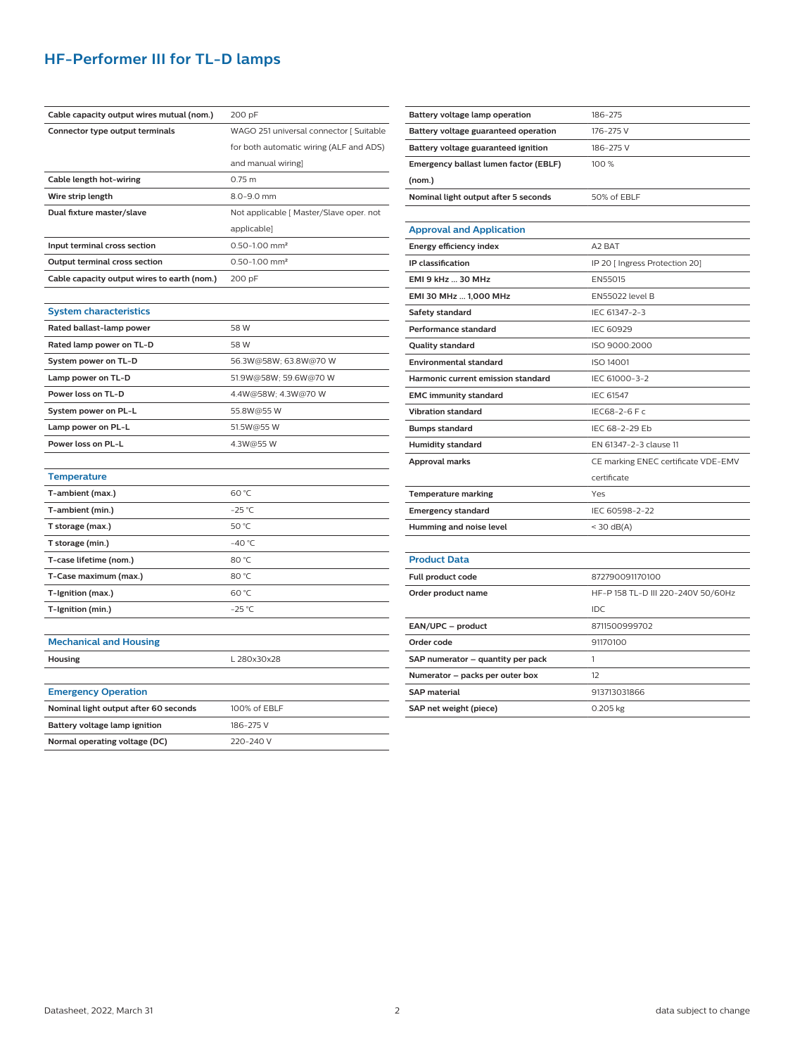## **HF-Performer III for TL-D lamps**

| Cable capacity output wires mutual (nom.)   | 200 pF                                  |  |  |  |
|---------------------------------------------|-----------------------------------------|--|--|--|
| Connector type output terminals             | WAGO 251 universal connector [ Suitable |  |  |  |
|                                             | for both automatic wiring (ALF and ADS) |  |  |  |
|                                             | and manual wiring]                      |  |  |  |
| Cable length hot-wiring                     | 0.75 <sub>m</sub>                       |  |  |  |
| Wire strip length                           | 8.0-9.0 mm                              |  |  |  |
| Dual fixture master/slave                   | Not applicable [ Master/Slave oper. not |  |  |  |
|                                             | applicable]                             |  |  |  |
| Input terminal cross section                | 0.50-1.00 mm <sup>2</sup>               |  |  |  |
| Output terminal cross section               | 0.50-1.00 mm <sup>2</sup>               |  |  |  |
| Cable capacity output wires to earth (nom.) | 200 pF                                  |  |  |  |
|                                             |                                         |  |  |  |
| <b>System characteristics</b>               |                                         |  |  |  |
| Rated ballast-lamp power                    | 58 W                                    |  |  |  |
| Rated lamp power on TL-D                    | 58 W                                    |  |  |  |
| System power on TL-D                        | 56.3W@58W; 63.8W@70 W                   |  |  |  |
| Lamp power on TL-D                          | 51.9W@58W; 59.6W@70 W                   |  |  |  |
| Power loss on TL-D                          | 4.4W@58W; 4.3W@70 W                     |  |  |  |
| System power on PL-L                        | 55.8W@55W                               |  |  |  |
| Lamp power on PL-L                          | 51.5W@55 W                              |  |  |  |
| Power loss on PL-L                          | 4.3W@55W                                |  |  |  |
|                                             |                                         |  |  |  |
| <b>Temperature</b>                          |                                         |  |  |  |
| T-ambient (max.)                            | 60 °C                                   |  |  |  |
| T-ambient (min.)                            | $-25$ °C                                |  |  |  |
| T storage (max.)                            | 50 °C                                   |  |  |  |
| T storage (min.)                            | $-40 °C$                                |  |  |  |
| T-case lifetime (nom.)                      | 80 °C                                   |  |  |  |
| T-Case maximum (max.)                       | 80 °C                                   |  |  |  |
| T-Ignition (max.)                           | 60 °C                                   |  |  |  |
| T-Ignition (min.)                           | $-25 °C$                                |  |  |  |
|                                             |                                         |  |  |  |
| <b>Mechanical and Housing</b>               |                                         |  |  |  |
| Housing                                     | L 280x30x28                             |  |  |  |
|                                             |                                         |  |  |  |
| <b>Emergency Operation</b>                  |                                         |  |  |  |
| Nominal light output after 60 seconds       | 100% of EBLF                            |  |  |  |
| Battery voltage lamp ignition               | 186-275 V                               |  |  |  |

| Battery voltage lamp operation        | 186-275                             |  |  |  |
|---------------------------------------|-------------------------------------|--|--|--|
| Battery voltage guaranteed operation  | 176-275 V                           |  |  |  |
| Battery voltage guaranteed ignition   | 186-275 V                           |  |  |  |
| Emergency ballast lumen factor (EBLF) | 100 %                               |  |  |  |
| (nom.)                                |                                     |  |  |  |
| Nominal light output after 5 seconds  | 50% of EBLF                         |  |  |  |
|                                       |                                     |  |  |  |
| <b>Approval and Application</b>       |                                     |  |  |  |
| Energy efficiency index               | A2 BAT                              |  |  |  |
| IP classification                     | IP 20 [ Ingress Protection 20]      |  |  |  |
| EMI 9 kHz  30 MHz                     | EN55015                             |  |  |  |
| EMI 30 MHz  1,000 MHz                 | <b>EN55022 level B</b>              |  |  |  |
| Safety standard                       | IEC 61347-2-3                       |  |  |  |
| Performance standard                  | <b>IEC 60929</b>                    |  |  |  |
| <b>Quality standard</b>               | ISO 9000:2000                       |  |  |  |
| <b>Environmental standard</b>         | ISO 14001                           |  |  |  |
| Harmonic current emission standard    | IEC 61000-3-2                       |  |  |  |
| <b>EMC immunity standard</b>          | <b>IEC 61547</b>                    |  |  |  |
| <b>Vibration standard</b>             | IEC68-2-6 F c                       |  |  |  |
| <b>Bumps standard</b>                 | IEC 68-2-29 Eb                      |  |  |  |
| <b>Humidity standard</b>              | EN 61347-2-3 clause 11              |  |  |  |
| Approval marks                        | CE marking ENEC certificate VDE-EMV |  |  |  |
|                                       | certificate                         |  |  |  |
| <b>Temperature marking</b>            | Yes                                 |  |  |  |
| <b>Emergency standard</b>             | IEC 60598-2-22                      |  |  |  |
| Humming and noise level               | $<$ 30 dB(A)                        |  |  |  |
|                                       |                                     |  |  |  |
| <b>Product Data</b>                   |                                     |  |  |  |
| Full product code                     | 872790091170100                     |  |  |  |
| Order product name                    | HF-P 158 TL-D III 220-240V 50/60Hz  |  |  |  |
|                                       | IDC                                 |  |  |  |
| EAN/UPC - product                     | 8711500999702                       |  |  |  |
| Order code                            | 91170100                            |  |  |  |
| SAP numerator - quantity per pack     | 1                                   |  |  |  |
| Numerator - packs per outer box       | 12                                  |  |  |  |
| <b>SAP</b> material                   | 913713031866                        |  |  |  |
| SAP net weight (piece)                | 0.205 kg                            |  |  |  |

**Normal operating voltage (DC)** 220-240 V